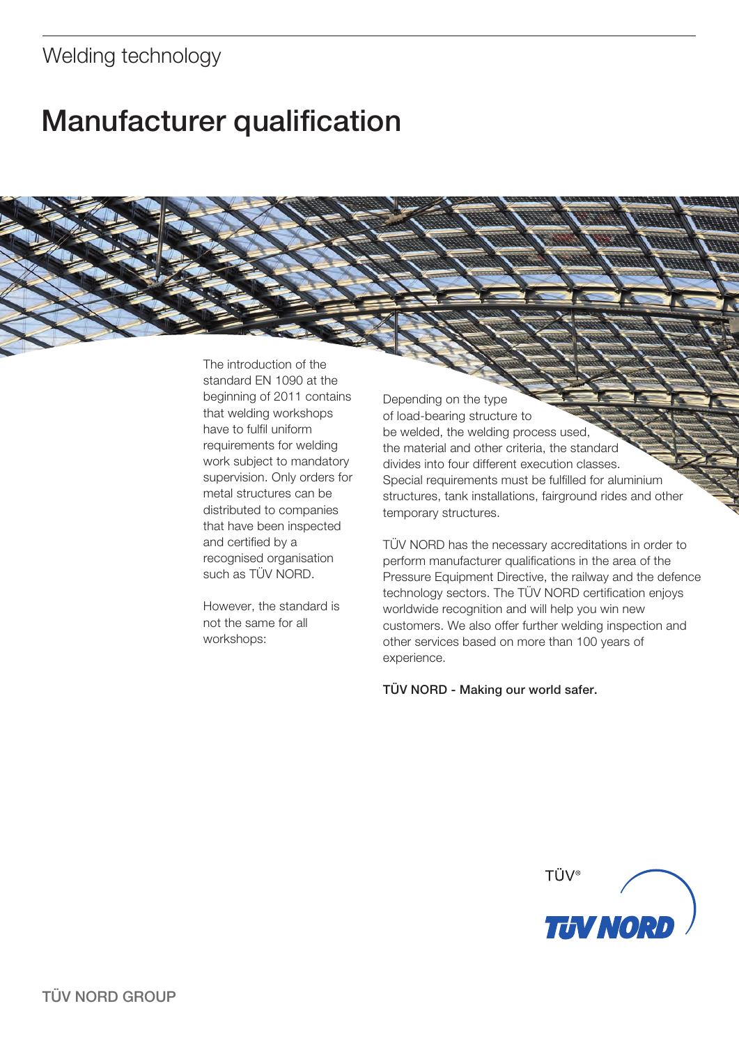## Welding technology

# Manufacturer qualification

The introduction of the standard EN 1090 at the beginning of 2011 contains that welding workshops have to fulfil uniform requirements for welding work subject to mandatory supervision. Only orders for metal structures can be distributed to companies that have been inspected and certified by a recognised organisation such as TÜV NORD.

However, the standard is not the same for all workshops:

Depending on the type of load-bearing structure to be welded, the welding process used, the material and other criteria, the standard divides into four different execution classes. Special requirements must be fulfilled for aluminium structures, tank installations, fairground rides and other temporary structures.

TÜV NORD has the necessary accreditations in order to perform manufacturer qualifications in the area of the Pressure Equipment Directive, the railway and the defence technology sectors. The TÜV NORD certification enjoys worldwide recognition and will help you win new customers. We also offer further welding inspection and other services based on more than 100 years of experience.

TÜV NORD - Making our world safer.